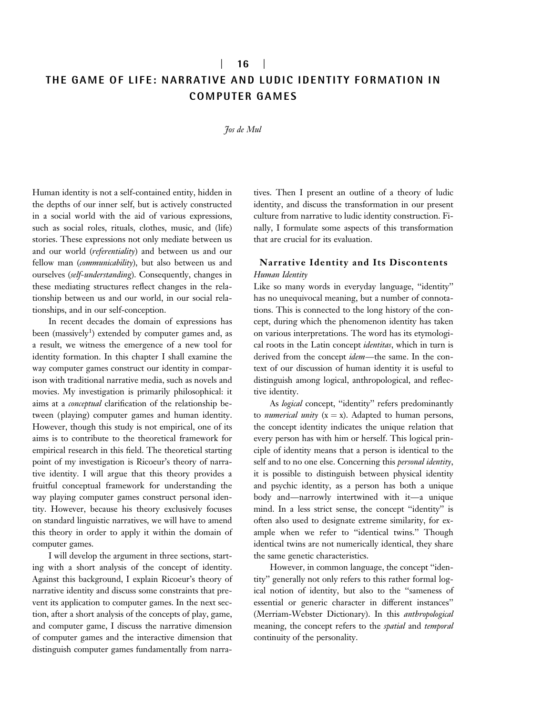# | | 16 THE GAME OF LIFE: NARRATIVE AND LUDIC IDENTITY FORMATION IN COMPUTER GAMES

Jos de Mul

Human identity is not a self-contained entity, hidden in the depths of our inner self, but is actively constructed in a social world with the aid of various expressions, such as social roles, rituals, clothes, music, and (life) stories. These expressions not only mediate between us and our world (referentiality) and between us and our fellow man (communicability), but also between us and ourselves (self-understanding). Consequently, changes in these mediating structures reflect changes in the relationship between us and our world, in our social relationships, and in our self-conception.

In recent decades the domain of expressions has been (massively<sup>1</sup>) extended by computer games and, as a result, we witness the emergence of a new tool for identity formation. In this chapter I shall examine the way computer games construct our identity in comparison with traditional narrative media, such as novels and movies. My investigation is primarily philosophical: it aims at a conceptual clarification of the relationship between (playing) computer games and human identity. However, though this study is not empirical, one of its aims is to contribute to the theoretical framework for empirical research in this field. The theoretical starting point of my investigation is Ricoeur's theory of narrative identity. I will argue that this theory provides a fruitful conceptual framework for understanding the way playing computer games construct personal identity. However, because his theory exclusively focuses on standard linguistic narratives, we will have to amend this theory in order to apply it within the domain of computer games.

I will develop the argument in three sections, starting with a short analysis of the concept of identity. Against this background, I explain Ricoeur's theory of narrative identity and discuss some constraints that prevent its application to computer games. In the next section, after a short analysis of the concepts of play, game, and computer game, I discuss the narrative dimension of computer games and the interactive dimension that distinguish computer games fundamentally from narra-

tives. Then I present an outline of a theory of ludic identity, and discuss the transformation in our present culture from narrative to ludic identity construction. Finally, I formulate some aspects of this transformation that are crucial for its evaluation.

## Narrative Identity and Its Discontents Human Identity

Like so many words in everyday language, ''identity'' has no unequivocal meaning, but a number of connotations. This is connected to the long history of the concept, during which the phenomenon identity has taken on various interpretations. The word has its etymological roots in the Latin concept *identitas*, which in turn is derived from the concept *idem*—the same. In the context of our discussion of human identity it is useful to distinguish among logical, anthropological, and reflective identity.

As logical concept, ''identity'' refers predominantly to *numerical unity*  $(x = x)$ . Adapted to human persons, the concept identity indicates the unique relation that every person has with him or herself. This logical principle of identity means that a person is identical to the self and to no one else. Concerning this personal identity, it is possible to distinguish between physical identity and psychic identity, as a person has both a unique body and—narrowly intertwined with it—a unique mind. In a less strict sense, the concept ''identity'' is often also used to designate extreme similarity, for example when we refer to ''identical twins.'' Though identical twins are not numerically identical, they share the same genetic characteristics.

However, in common language, the concept ''identity'' generally not only refers to this rather formal logical notion of identity, but also to the ''sameness of essential or generic character in different instances'' (Merriam-Webster Dictionary). In this anthropological meaning, the concept refers to the spatial and temporal continuity of the personality.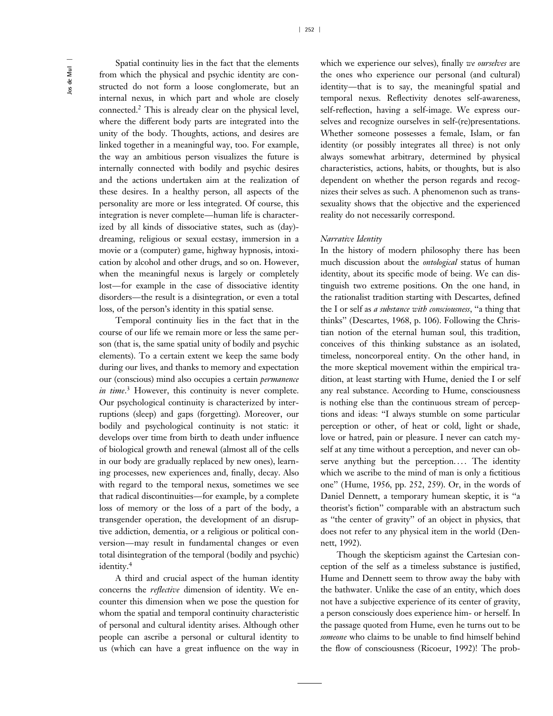Spatial continuity lies in the fact that the elements from which the physical and psychic identity are constructed do not form a loose conglomerate, but an internal nexus, in which part and whole are closely connected.<sup>2</sup> This is already clear on the physical level, where the different body parts are integrated into the unity of the body. Thoughts, actions, and desires are linked together in a meaningful way, too. For example, the way an ambitious person visualizes the future is internally connected with bodily and psychic desires and the actions undertaken aim at the realization of these desires. In a healthy person, all aspects of the personality are more or less integrated. Of course, this integration is never complete—human life is characterized by all kinds of dissociative states, such as (day) dreaming, religious or sexual ecstasy, immersion in a movie or a (computer) game, highway hypnosis, intoxication by alcohol and other drugs, and so on. However, when the meaningful nexus is largely or completely lost—for example in the case of dissociative identity disorders—the result is a disintegration, or even a total loss, of the person's identity in this spatial sense.

Temporal continuity lies in the fact that in the course of our life we remain more or less the same person (that is, the same spatial unity of bodily and psychic elements). To a certain extent we keep the same body during our lives, and thanks to memory and expectation our (conscious) mind also occupies a certain *permanence* in time.<sup>3</sup> However, this continuity is never complete. Our psychological continuity is characterized by interruptions (sleep) and gaps (forgetting). Moreover, our bodily and psychological continuity is not static: it develops over time from birth to death under influence of biological growth and renewal (almost all of the cells in our body are gradually replaced by new ones), learning processes, new experiences and, finally, decay. Also with regard to the temporal nexus, sometimes we see that radical discontinuities—for example, by a complete loss of memory or the loss of a part of the body, a transgender operation, the development of an disruptive addiction, dementia, or a religious or political conversion—may result in fundamental changes or even total disintegration of the temporal (bodily and psychic) identity.<sup>4</sup>

A third and crucial aspect of the human identity concerns the reflective dimension of identity. We encounter this dimension when we pose the question for whom the spatial and temporal continuity characteristic of personal and cultural identity arises. Although other people can ascribe a personal or cultural identity to us (which can have a great influence on the way in which we experience our selves), finally we ourselves are the ones who experience our personal (and cultural) identity—that is to say, the meaningful spatial and temporal nexus. Reflectivity denotes self-awareness, self-reflection, having a self-image. We express ourselves and recognize ourselves in self-(re)presentations. Whether someone possesses a female, Islam, or fan identity (or possibly integrates all three) is not only always somewhat arbitrary, determined by physical characteristics, actions, habits, or thoughts, but is also dependent on whether the person regards and recognizes their selves as such. A phenomenon such as transsexuality shows that the objective and the experienced reality do not necessarily correspond.

#### Narrative Identity

In the history of modern philosophy there has been much discussion about the ontological status of human identity, about its specific mode of being. We can distinguish two extreme positions. On the one hand, in the rationalist tradition starting with Descartes, defined the I or self as a substance with consciousness, ''a thing that thinks'' (Descartes, 1968, p. 106). Following the Christian notion of the eternal human soul, this tradition, conceives of this thinking substance as an isolated, timeless, noncorporeal entity. On the other hand, in the more skeptical movement within the empirical tradition, at least starting with Hume, denied the I or self any real substance. According to Hume, consciousness is nothing else than the continuous stream of perceptions and ideas: ''I always stumble on some particular perception or other, of heat or cold, light or shade, love or hatred, pain or pleasure. I never can catch myself at any time without a perception, and never can observe anything but the perception.... The identity which we ascribe to the mind of man is only a fictitious one'' (Hume, 1956, pp. 252, 259). Or, in the words of Daniel Dennett, a temporary humean skeptic, it is ''a theorist's fiction'' comparable with an abstractum such as ''the center of gravity'' of an object in physics, that does not refer to any physical item in the world (Dennett, 1992).

Though the skepticism against the Cartesian conception of the self as a timeless substance is justified, Hume and Dennett seem to throw away the baby with the bathwater. Unlike the case of an entity, which does not have a subjective experience of its center of gravity, a person consciously does experience him- or herself. In the passage quoted from Hume, even he turns out to be someone who claims to be unable to find himself behind the flow of consciousness (Ricoeur, 1992)! The prob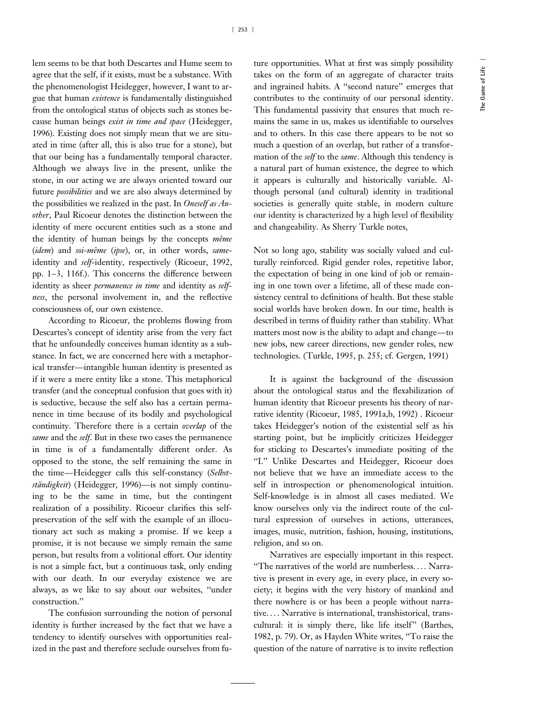lem seems to be that both Descartes and Hume seem to agree that the self, if it exists, must be a substance. With the phenomenologist Heidegger, however, I want to argue that human existence is fundamentally distinguished from the ontological status of objects such as stones because human beings exist in time and space (Heidegger, 1996). Existing does not simply mean that we are situated in time (after all, this is also true for a stone), but that our being has a fundamentally temporal character. Although we always live in the present, unlike the stone, in our acting we are always oriented toward our future *possibilities* and we are also always determined by the possibilities we realized in the past. In Oneself as Another, Paul Ricoeur denotes the distinction between the identity of mere occurent entities such as a stone and the identity of human beings by the concepts  $m\hat{e}m\hat{e}$ (idem) and soi-même (ipse), or, in other words, sameidentity and self-identity, respectively (Ricoeur, 1992, pp. 1–3, 116f.). This concerns the difference between identity as sheer *permanence in time* and identity as selfness, the personal involvement in, and the reflective consciousness of, our own existence.

According to Ricoeur, the problems flowing from Descartes's concept of identity arise from the very fact that he unfoundedly conceives human identity as a substance. In fact, we are concerned here with a metaphorical transfer—intangible human identity is presented as if it were a mere entity like a stone. This metaphorical transfer (and the conceptual confusion that goes with it) is seductive, because the self also has a certain permanence in time because of its bodily and psychological continuity. Therefore there is a certain overlap of the same and the self. But in these two cases the permanence in time is of a fundamentally different order. As opposed to the stone, the self remaining the same in the time—Heidegger calls this self-constancy (Selbstständigkeit) (Heidegger, 1996)—is not simply continuing to be the same in time, but the contingent realization of a possibility. Ricoeur clarifies this selfpreservation of the self with the example of an illocutionary act such as making a promise. If we keep a promise, it is not because we simply remain the same person, but results from a volitional effort. Our identity is not a simple fact, but a continuous task, only ending with our death. In our everyday existence we are always, as we like to say about our websites, ''under construction.''

The confusion surrounding the notion of personal identity is further increased by the fact that we have a tendency to identify ourselves with opportunities realized in the past and therefore seclude ourselves from future opportunities. What at first was simply possibility takes on the form of an aggregate of character traits and ingrained habits. A ''second nature'' emerges that contributes to the continuity of our personal identity. This fundamental passivity that ensures that much remains the same in us, makes us identifiable to ourselves and to others. In this case there appears to be not so much a question of an overlap, but rather of a transformation of the *self* to the *same*. Although this tendency is a natural part of human existence, the degree to which it appears is culturally and historically variable. Although personal (and cultural) identity in traditional societies is generally quite stable, in modern culture our identity is characterized by a high level of flexibility and changeability. As Sherry Turkle notes,

Not so long ago, stability was socially valued and culturally reinforced. Rigid gender roles, repetitive labor, the expectation of being in one kind of job or remaining in one town over a lifetime, all of these made consistency central to definitions of health. But these stable social worlds have broken down. In our time, health is described in terms of fluidity rather than stability. What matters most now is the ability to adapt and change—to new jobs, new career directions, new gender roles, new technologies. (Turkle, 1995, p. 255; cf. Gergen, 1991)

It is against the background of the discussion about the ontological status and the flexabilization of human identity that Ricoeur presents his theory of narrative identity (Ricoeur, 1985, 1991a,b, 1992) . Ricoeur takes Heidegger's notion of the existential self as his starting point, but he implicitly criticizes Heidegger for sticking to Descartes's immediate positing of the "I." Unlike Descartes and Heidegger, Ricoeur does not believe that we have an immediate access to the self in introspection or phenomenological intuition. Self-knowledge is in almost all cases mediated. We know ourselves only via the indirect route of the cultural expression of ourselves in actions, utterances, images, music, nutrition, fashion, housing, institutions, religion, and so on.

Narratives are especially important in this respect. ''The narratives of the world are numberless. . . . Narrative is present in every age, in every place, in every society; it begins with the very history of mankind and there nowhere is or has been a people without narrative. . . . Narrative is international, transhistorical, transcultural: it is simply there, like life itself'' (Barthes, 1982, p. 79). Or, as Hayden White writes, ''To raise the question of the nature of narrative is to invite reflection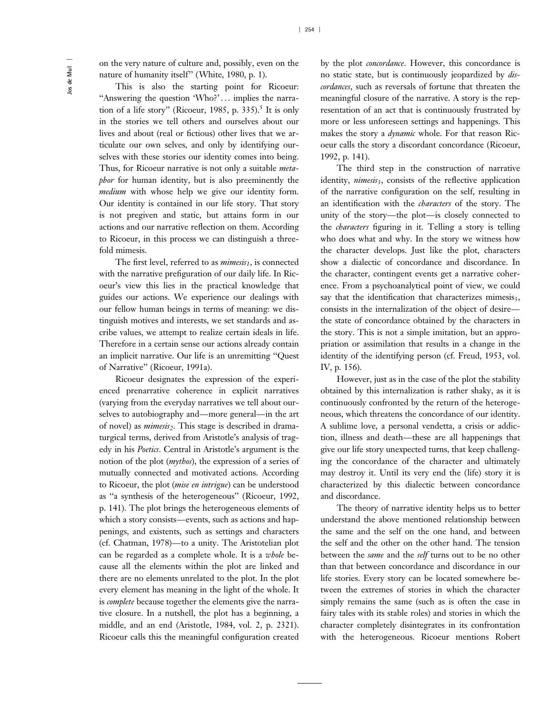on the very nature of culture and, possibly, even on the nature of humanity itself'' (White, 1980, p. 1).

This is also the starting point for Ricoeur: "Answering the question 'Who?' ... implies the narration of a life story" (Ricoeur, 1985, p. 335).<sup>5</sup> It is only in the stories we tell others and ourselves about our lives and about (real or fictious) other lives that we articulate our own selves, and only by identifying ourselves with these stories our identity comes into being. Thus, for Ricoeur narrative is not only a suitable metaphor for human identity, but is also preeminently the medium with whose help we give our identity form. Our identity is contained in our life story. That story is not pregiven and static, but attains form in our actions and our narrative reflection on them. According to Ricoeur, in this process we can distinguish a threefold mimesis.

The first level, referred to as  $mimesis<sub>1</sub>$ , is connected with the narrative prefiguration of our daily life. In Ricoeur's view this lies in the practical knowledge that guides our actions. We experience our dealings with our fellow human beings in terms of meaning: we distinguish motives and interests, we set standards and ascribe values, we attempt to realize certain ideals in life. Therefore in a certain sense our actions already contain an implicit narrative. Our life is an unremitting ''Quest of Narrative'' (Ricoeur, 1991a).

Ricoeur designates the expression of the experienced prenarrative coherence in explicit narratives (varying from the everyday narratives we tell about ourselves to autobiography and—more general—in the art of novel) as *mimesis*<sub>2</sub>. This stage is described in dramaturgical terms, derived from Aristotle's analysis of tragedy in his Poetics. Central in Aristotle's argument is the notion of the plot (mythos), the expression of a series of mutually connected and motivated actions. According to Ricoeur, the plot (mise en intrigue) can be understood as ''a synthesis of the heterogeneous'' (Ricoeur, 1992, p. 141). The plot brings the heterogeneous elements of which a story consists—events, such as actions and happenings, and existents, such as settings and characters (cf. Chatman, 1978)—to a unity. The Aristotelian plot can be regarded as a complete whole. It is a whole because all the elements within the plot are linked and there are no elements unrelated to the plot. In the plot every element has meaning in the light of the whole. It is complete because together the elements give the narrative closure. In a nutshell, the plot has a beginning, a middle, and an end (Aristotle, 1984, vol. 2, p. 2321). Ricoeur calls this the meaningful configuration created

by the plot *concordance*. However, this concordance is no static state, but is continuously jeopardized by discordances, such as reversals of fortune that threaten the meaningful closure of the narrative. A story is the representation of an act that is continuously frustrated by more or less unforeseen settings and happenings. This makes the story a *dynamic* whole. For that reason Ricoeur calls the story a discordant concordance (Ricoeur, 1992, p. 141).

The third step in the construction of narrative identity,  $nimesis<sub>3</sub>$ , consists of the reflective application of the narrative configuration on the self, resulting in an identification with the *characters* of the story. The unity of the story—the plot—is closely connected to the characters figuring in it. Telling a story is telling who does what and why. In the story we witness how the character develops. Just like the plot, characters show a dialectic of concordance and discordance. In the character, contingent events get a narrative coherence. From a psychoanalytical point of view, we could say that the identification that characterizes mimesis3, consists in the internalization of the object of desire the state of concordance obtained by the characters in the story. This is not a simple imitation, but an appropriation or assimilation that results in a change in the identity of the identifying person (cf. Freud, 1953, vol. IV, p. 156).

However, just as in the case of the plot the stability obtained by this internalization is rather shaky, as it is continuously confronted by the return of the heterogeneous, which threatens the concordance of our identity. A sublime love, a personal vendetta, a crisis or addiction, illness and death—these are all happenings that give our life story unexpected turns, that keep challenging the concordance of the character and ultimately may destroy it. Until its very end the (life) story it is characterized by this dialectic between concordance and discordance.

The theory of narrative identity helps us to better understand the above mentioned relationship between the same and the self on the one hand, and between the self and the other on the other hand. The tension between the same and the self turns out to be no other than that between concordance and discordance in our life stories. Every story can be located somewhere between the extremes of stories in which the character simply remains the same (such as is often the case in fairy tales with its stable roles) and stories in which the character completely disintegrates in its confrontation with the heterogeneous. Ricoeur mentions Robert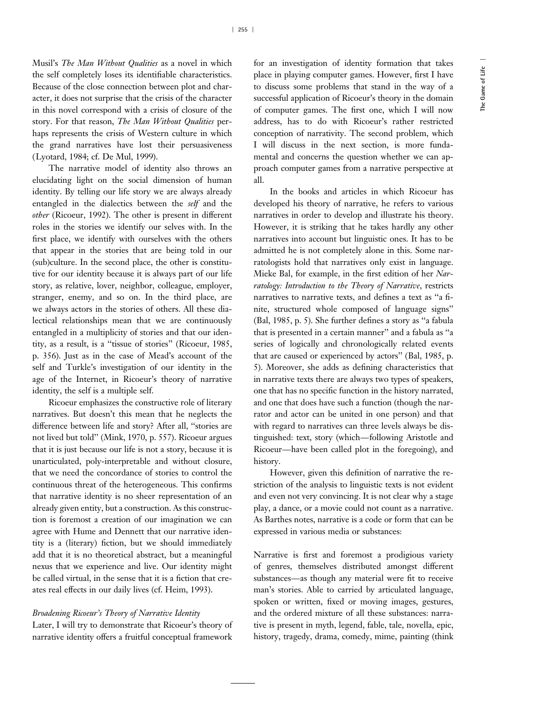Musil's The Man Without Qualities as a novel in which the self completely loses its identifiable characteristics. Because of the close connection between plot and character, it does not surprise that the crisis of the character in this novel correspond with a crisis of closure of the story. For that reason, The Man Without Qualities perhaps represents the crisis of Western culture in which the grand narratives have lost their persuasiveness (Lyotard, 1984; cf. De Mul, 1999).

The narrative model of identity also throws an elucidating light on the social dimension of human identity. By telling our life story we are always already entangled in the dialectics between the self and the other (Ricoeur, 1992). The other is present in different roles in the stories we identify our selves with. In the first place, we identify with ourselves with the others that appear in the stories that are being told in our (sub)culture. In the second place, the other is constitutive for our identity because it is always part of our life story, as relative, lover, neighbor, colleague, employer, stranger, enemy, and so on. In the third place, are we always actors in the stories of others. All these dialectical relationships mean that we are continuously entangled in a multiplicity of stories and that our identity, as a result, is a ''tissue of stories'' (Ricoeur, 1985, p. 356). Just as in the case of Mead's account of the self and Turkle's investigation of our identity in the age of the Internet, in Ricoeur's theory of narrative identity, the self is a multiple self.

Ricoeur emphasizes the constructive role of literary narratives. But doesn't this mean that he neglects the difference between life and story? After all, ''stories are not lived but told'' (Mink, 1970, p. 557). Ricoeur argues that it is just because our life is not a story, because it is unarticulated, poly-interpretable and without closure, that we need the concordance of stories to control the continuous threat of the heterogeneous. This confirms that narrative identity is no sheer representation of an already given entity, but a construction. As this construction is foremost a creation of our imagination we can agree with Hume and Dennett that our narrative identity is a (literary) fiction, but we should immediately add that it is no theoretical abstract, but a meaningful nexus that we experience and live. Our identity might be called virtual, in the sense that it is a fiction that creates real effects in our daily lives (cf. Heim, 1993).

## Broadening Ricoeur's Theory of Narrative Identity

Later, I will try to demonstrate that Ricoeur's theory of narrative identity offers a fruitful conceptual framework

for an investigation of identity formation that takes place in playing computer games. However, first I have to discuss some problems that stand in the way of a successful application of Ricoeur's theory in the domain of computer games. The first one, which I will now address, has to do with Ricoeur's rather restricted conception of narrativity. The second problem, which I will discuss in the next section, is more fundamental and concerns the question whether we can approach computer games from a narrative perspective at all.

In the books and articles in which Ricoeur has developed his theory of narrative, he refers to various narratives in order to develop and illustrate his theory. However, it is striking that he takes hardly any other narratives into account but linguistic ones. It has to be admitted he is not completely alone in this. Some narratologists hold that narratives only exist in language. Mieke Bal, for example, in the first edition of her Narratology: Introduction to the Theory of Narrative, restricts narratives to narrative texts, and defines a text as ''a finite, structured whole composed of language signs'' (Bal, 1985, p. 5). She further defines a story as ''a fabula that is presented in a certain manner'' and a fabula as ''a series of logically and chronologically related events that are caused or experienced by actors'' (Bal, 1985, p. 5). Moreover, she adds as defining characteristics that in narrative texts there are always two types of speakers, one that has no specific function in the history narrated, and one that does have such a function (though the narrator and actor can be united in one person) and that with regard to narratives can three levels always be distinguished: text, story (which—following Aristotle and Ricoeur—have been called plot in the foregoing), and history.

However, given this definition of narrative the restriction of the analysis to linguistic texts is not evident and even not very convincing. It is not clear why a stage play, a dance, or a movie could not count as a narrative. As Barthes notes, narrative is a code or form that can be expressed in various media or substances:

Narrative is first and foremost a prodigious variety of genres, themselves distributed amongst different substances—as though any material were fit to receive man's stories. Able to carried by articulated language, spoken or written, fixed or moving images, gestures, and the ordered mixture of all these substances: narrative is present in myth, legend, fable, tale, novella, epic, history, tragedy, drama, comedy, mime, painting (think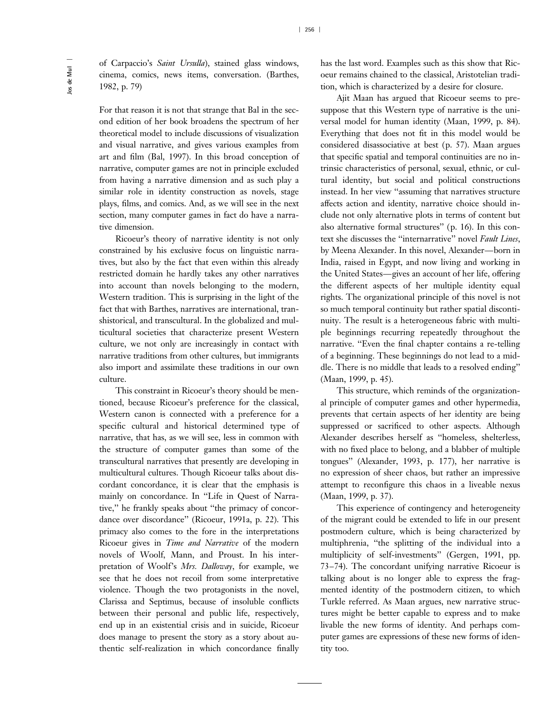los de Mul Jos de Mul

of Carpaccio's Saint Ursulla), stained glass windows, cinema, comics, news items, conversation. (Barthes, 1982, p. 79)

For that reason it is not that strange that Bal in the second edition of her book broadens the spectrum of her theoretical model to include discussions of visualization and visual narrative, and gives various examples from art and film (Bal, 1997). In this broad conception of narrative, computer games are not in principle excluded from having a narrative dimension and as such play a similar role in identity construction as novels, stage plays, films, and comics. And, as we will see in the next section, many computer games in fact do have a narrative dimension.

Ricoeur's theory of narrative identity is not only constrained by his exclusive focus on linguistic narratives, but also by the fact that even within this already restricted domain he hardly takes any other narratives into account than novels belonging to the modern, Western tradition. This is surprising in the light of the fact that with Barthes, narratives are international, transhistorical, and transcultural. In the globalized and multicultural societies that characterize present Western culture, we not only are increasingly in contact with narrative traditions from other cultures, but immigrants also import and assimilate these traditions in our own culture.

This constraint in Ricoeur's theory should be mentioned, because Ricoeur's preference for the classical, Western canon is connected with a preference for a specific cultural and historical determined type of narrative, that has, as we will see, less in common with the structure of computer games than some of the transcultural narratives that presently are developing in multicultural cultures. Though Ricoeur talks about discordant concordance, it is clear that the emphasis is mainly on concordance. In ''Life in Quest of Narrative,'' he frankly speaks about ''the primacy of concordance over discordance'' (Ricoeur, 1991a, p. 22). This primacy also comes to the fore in the interpretations Ricoeur gives in Time and Narrative of the modern novels of Woolf, Mann, and Proust. In his interpretation of Woolf's Mrs. Dalloway, for example, we see that he does not recoil from some interpretative violence. Though the two protagonists in the novel, Clarissa and Septimus, because of insoluble conflicts between their personal and public life, respectively, end up in an existential crisis and in suicide, Ricoeur does manage to present the story as a story about authentic self-realization in which concordance finally

has the last word. Examples such as this show that Ricoeur remains chained to the classical, Aristotelian tradition, which is characterized by a desire for closure.

Ajit Maan has argued that Ricoeur seems to presuppose that this Western type of narrative is the universal model for human identity (Maan, 1999, p. 84). Everything that does not fit in this model would be considered disassociative at best (p. 57). Maan argues that specific spatial and temporal continuities are no intrinsic characteristics of personal, sexual, ethnic, or cultural identity, but social and political constructions instead. In her view ''assuming that narratives structure affects action and identity, narrative choice should include not only alternative plots in terms of content but also alternative formal structures'' (p. 16). In this context she discusses the "internarrative" novel Fault Lines, by Meena Alexander. In this novel, Alexander—born in India, raised in Egypt, and now living and working in the United States—gives an account of her life, offering the different aspects of her multiple identity equal rights. The organizational principle of this novel is not so much temporal continuity but rather spatial discontinuity. The result is a heterogeneous fabric with multiple beginnings recurring repeatedly throughout the narrative. "Even the final chapter contains a re-telling of a beginning. These beginnings do not lead to a middle. There is no middle that leads to a resolved ending'' (Maan, 1999, p. 45).

This structure, which reminds of the organizational principle of computer games and other hypermedia, prevents that certain aspects of her identity are being suppressed or sacrificed to other aspects. Although Alexander describes herself as ''homeless, shelterless, with no fixed place to belong, and a blabber of multiple tongues'' (Alexander, 1993, p. 177), her narrative is no expression of sheer chaos, but rather an impressive attempt to reconfigure this chaos in a liveable nexus (Maan, 1999, p. 37).

This experience of contingency and heterogeneity of the migrant could be extended to life in our present postmodern culture, which is being characterized by multiphrenia, ''the splitting of the individual into a multiplicity of self-investments'' (Gergen, 1991, pp. 73–74). The concordant unifying narrative Ricoeur is talking about is no longer able to express the fragmented identity of the postmodern citizen, to which Turkle referred. As Maan argues, new narrative structures might be better capable to express and to make livable the new forms of identity. And perhaps computer games are expressions of these new forms of identity too.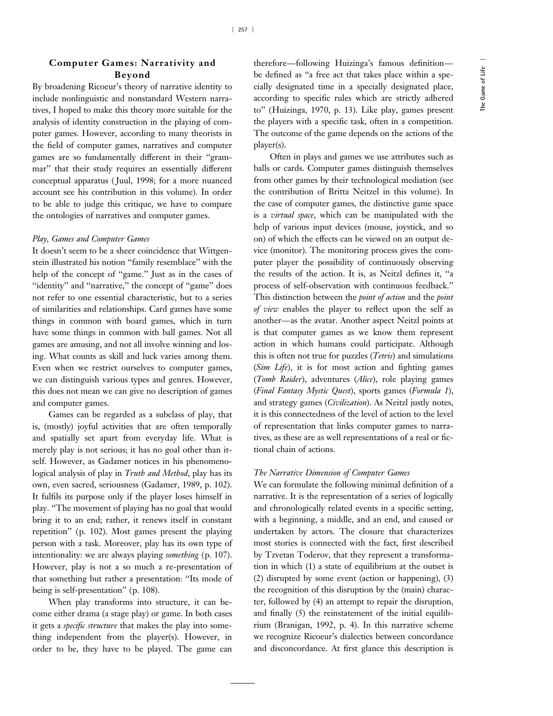## Computer Games: Narrativity and Beyond

By broadening Ricoeur's theory of narrative identity to include nonlinguistic and nonstandard Western narratives, I hoped to make this theory more suitable for the analysis of identity construction in the playing of computer games. However, according to many theorists in the field of computer games, narratives and computer games are so fundamentally different in their ''grammar'' that their study requires an essentially different conceptual apparatus ( Juul, 1998; for a more nuanced account see his contribution in this volume). In order to be able to judge this critique, we have to compare the ontologies of narratives and computer games.

#### Play, Games and Computer Games

It doesn't seem to be a sheer coincidence that Wittgenstein illustrated his notion ''family resemblace'' with the help of the concept of ''game.'' Just as in the cases of "identity" and "narrative," the concept of "game" does not refer to one essential characteristic, but to a series of similarities and relationships. Card games have some things in common with board games, which in turn have some things in common with ball games. Not all games are amusing, and not all involve winning and losing. What counts as skill and luck varies among them. Even when we restrict ourselves to computer games, we can distinguish various types and genres. However, this does not mean we can give no description of games and computer games.

Games can be regarded as a subclass of play, that is, (mostly) joyful activities that are often temporally and spatially set apart from everyday life. What is merely play is not serious; it has no goal other than itself. However, as Gadamer notices in his phenomenological analysis of play in Truth and Method, play has its own, even sacred, seriousness (Gadamer, 1989, p. 102). It fulfils its purpose only if the player loses himself in play. ''The movement of playing has no goal that would bring it to an end; rather, it renews itself in constant repetition'' (p. 102). Most games present the playing person with a task. Moreover, play has its own type of intentionality: we are always playing something (p. 107). However, play is not a so much a re-presentation of that something but rather a presentation: ''Its mode of being is self-presentation'' (p. 108).

When play transforms into structure, it can become either drama (a stage play) or game. In both cases it gets a *specific structure* that makes the play into something independent from the player(s). However, in order to be, they have to be played. The game can

therefore—following Huizinga's famous definition be defined as ''a free act that takes place within a specially designated time in a specially designated place, according to specific rules which are strictly adhered to'' (Huizinga, 1970, p. 13). Like play, games present the players with a specific task, often in a competition. The outcome of the game depends on the actions of the player(s).

Often in plays and games we use attributes such as balls or cards. Computer games distinguish themselves from other games by their technological mediation (see the contribution of Britta Neitzel in this volume). In the case of computer games, the distinctive game space is a virtual space, which can be manipulated with the help of various input devices (mouse, joystick, and so on) of which the effects can be viewed on an output device (monitor). The monitoring process gives the computer player the possibility of continuously observing the results of the action. It is, as Neitzl defines it, ''a process of self-observation with continuous feedback.'' This distinction between the *point of action* and the *point* of view enables the player to reflect upon the self as another—as the avatar. Another aspect Neitzl points at is that computer games as we know them represent action in which humans could participate. Although this is often not true for puzzles (Tetris) and simulations (Sim Life), it is for most action and fighting games (Tomb Raider), adventures (Alice), role playing games (Final Fantasy Mystic Quest), sports games (Formula 1), and strategy games (Civilization). As Neitzl justly notes, it is this connectedness of the level of action to the level of representation that links computer games to narratives, as these are as well representations of a real or fictional chain of actions.

## The Narrative Dimension of Computer Games

We can formulate the following minimal definition of a narrative. It is the representation of a series of logically and chronologically related events in a specific setting, with a beginning, a middle, and an end, and caused or undertaken by actors. The closure that characterizes most stories is connected with the fact, first described by Tzvetan Toderov, that they represent a transformation in which (1) a state of equilibrium at the outset is (2) disrupted by some event (action or happening), (3) the recognition of this disruption by the (main) character, followed by (4) an attempt to repair the disruption, and finally (5) the reinstatement of the initial equilibrium (Branigan, 1992, p. 4). In this narrative scheme we recognize Ricoeur's dialectics between concordance and disconcordance. At first glance this description is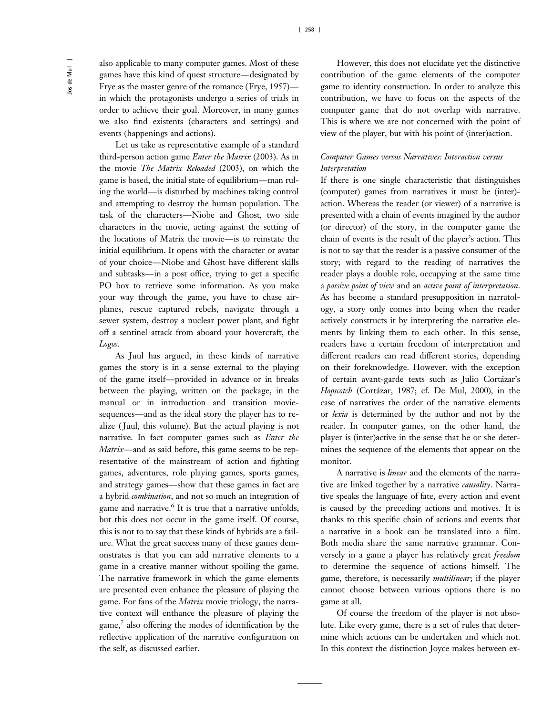also applicable to many computer games. Most of these games have this kind of quest structure—designated by Frye as the master genre of the romance (Frye, 1957) in which the protagonists undergo a series of trials in order to achieve their goal. Moreover, in many games we also find existents (characters and settings) and events (happenings and actions).

Let us take as representative example of a standard third-person action game *Enter the Matrix* (2003). As in the movie The Matrix Reloaded (2003), on which the game is based, the initial state of equilibrium—man ruling the world—is disturbed by machines taking control and attempting to destroy the human population. The task of the characters—Niobe and Ghost, two side characters in the movie, acting against the setting of the locations of Matrix the movie—is to reinstate the initial equilibrium. It opens with the character or avatar of your choice—Niobe and Ghost have different skills and subtasks—in a post office, trying to get a specific PO box to retrieve some information. As you make your way through the game, you have to chase airplanes, rescue captured rebels, navigate through a sewer system, destroy a nuclear power plant, and fight off a sentinel attack from aboard your hovercraft, the Logos.

As Juul has argued, in these kinds of narrative games the story is in a sense external to the playing of the game itself—provided in advance or in breaks between the playing, written on the package, in the manual or in introduction and transition moviesequences—and as the ideal story the player has to realize ( Juul, this volume). But the actual playing is not narrative. In fact computer games such as *Enter the* Matrix—and as said before, this game seems to be representative of the mainstream of action and fighting games, adventures, role playing games, sports games, and strategy games—show that these games in fact are a hybrid combination, and not so much an integration of game and narrative.<sup>6</sup> It is true that a narrative unfolds, but this does not occur in the game itself. Of course, this is not to to say that these kinds of hybrids are a failure. What the great success many of these games demonstrates is that you can add narrative elements to a game in a creative manner without spoiling the game. The narrative framework in which the game elements are presented even enhance the pleasure of playing the game. For fans of the Matrix movie triology, the narrative context will enthance the pleasure of playing the game, $7$  also offering the modes of identification by the reflective application of the narrative configuration on the self, as discussed earlier.

However, this does not elucidate yet the distinctive contribution of the game elements of the computer game to identity construction. In order to analyze this contribution, we have to focus on the aspects of the computer game that do not overlap with narrative. This is where we are not concerned with the point of view of the player, but with his point of (inter)action.

## Computer Games versus Narratives: Interaction versus Interpretation

If there is one single characteristic that distinguishes (computer) games from narratives it must be (inter) action. Whereas the reader (or viewer) of a narrative is presented with a chain of events imagined by the author (or director) of the story, in the computer game the chain of events is the result of the player's action. This is not to say that the reader is a passive consumer of the story; with regard to the reading of narratives the reader plays a double role, occupying at the same time a passive point of view and an active point of interpretation. As has become a standard presupposition in narratology, a story only comes into being when the reader actively constructs it by interpreting the narrative elements by linking them to each other. In this sense, readers have a certain freedom of interpretation and different readers can read different stories, depending on their foreknowledge. However, with the exception of certain avant-garde texts such as Julio Cortázar's Hopscotch (Cortázar, 1987; cf. De Mul, 2000), in the case of narratives the order of the narrative elements or lexia is determined by the author and not by the reader. In computer games, on the other hand, the player is (inter)active in the sense that he or she determines the sequence of the elements that appear on the monitor.

A narrative is linear and the elements of the narrative are linked together by a narrative *causality*. Narrative speaks the language of fate, every action and event is caused by the preceding actions and motives. It is thanks to this specific chain of actions and events that a narrative in a book can be translated into a film. Both media share the same narrative grammar. Conversely in a game a player has relatively great freedom to determine the sequence of actions himself. The game, therefore, is necessarily *multilinear*; if the player cannot choose between various options there is no game at all.

Of course the freedom of the player is not absolute. Like every game, there is a set of rules that determine which actions can be undertaken and which not. In this context the distinction Joyce makes between ex-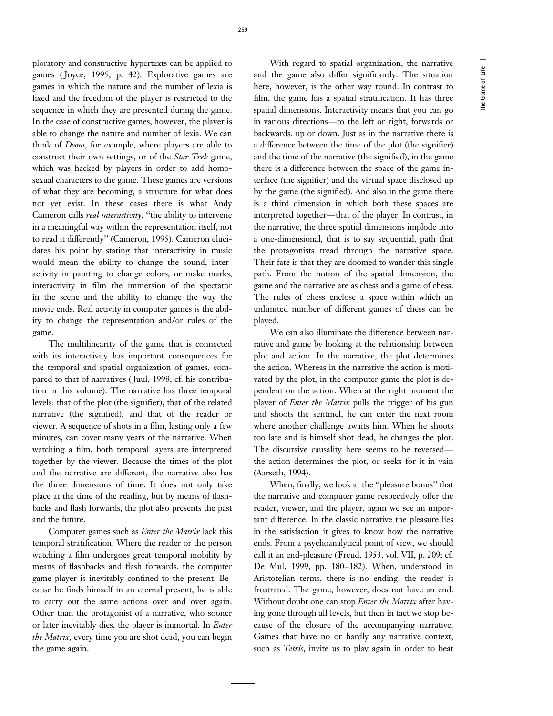ploratory and constructive hypertexts can be applied to games ( Joyce, 1995, p. 42). Explorative games are games in which the nature and the number of lexia is fixed and the freedom of the player is restricted to the sequence in which they are presented during the game. In the case of constructive games, however, the player is able to change the nature and number of lexia. We can think of Doom, for example, where players are able to construct their own settings, or of the Star Trek game, which was hacked by players in order to add homosexual characters to the game. These games are versions of what they are becoming, a structure for what does not yet exist. In these cases there is what Andy Cameron calls real interactivity, ''the ability to intervene in a meaningful way within the representation itself, not to read it differently'' (Cameron, 1995). Cameron elucidates his point by stating that interactivity in music would mean the ability to change the sound, interactivity in painting to change colors, or make marks, interactivity in film the immersion of the spectator in the scene and the ability to change the way the movie ends. Real activity in computer games is the ability to change the representation and/or rules of the game.

The multilinearity of the game that is connected with its interactivity has important consequences for the temporal and spatial organization of games, compared to that of narratives ( Juul, 1998; cf. his contribution in this volume). The narrative has three temporal levels: that of the plot (the signifier), that of the related narrative (the signified), and that of the reader or viewer. A sequence of shots in a film, lasting only a few minutes, can cover many years of the narrative. When watching a film, both temporal layers are interpreted together by the viewer. Because the times of the plot and the narrative are different, the narrative also has the three dimensions of time. It does not only take place at the time of the reading, but by means of flashbacks and flash forwards, the plot also presents the past and the future.

Computer games such as Enter the Matrix lack this temporal stratification. Where the reader or the person watching a film undergoes great temporal mobility by means of flashbacks and flash forwards, the computer game player is inevitably confined to the present. Because he finds himself in an eternal present, he is able to carry out the same actions over and over again. Other than the protagonist of a narrative, who sooner or later inevitably dies, the player is immortal. In Enter the Matrix, every time you are shot dead, you can begin the game again.

With regard to spatial organization, the narrative and the game also differ significantly. The situation here, however, is the other way round. In contrast to film, the game has a spatial stratification. It has three spatial dimensions. Interactivity means that you can go in various directions—to the left or right, forwards or backwards, up or down. Just as in the narrative there is a difference between the time of the plot (the signifier) and the time of the narrative (the signified), in the game there is a difference between the space of the game interface (the signifier) and the virtual space disclosed up by the game (the signified). And also in the game there is a third dimension in which both these spaces are interpreted together—that of the player. In contrast, in the narrative, the three spatial dimensions implode into a one-dimensional, that is to say sequential, path that the protagonists tread through the narrative space. Their fate is that they are doomed to wander this single path. From the notion of the spatial dimension, the game and the narrative are as chess and a game of chess. The rules of chess enclose a space within which an unlimited number of different games of chess can be played.

We can also illuminate the difference between narrative and game by looking at the relationship between plot and action. In the narrative, the plot determines the action. Whereas in the narrative the action is motivated by the plot, in the computer game the plot is dependent on the action. When at the right moment the player of *Enter the Matrix* pulls the trigger of his gun and shoots the sentinel, he can enter the next room where another challenge awaits him. When he shoots too late and is himself shot dead, he changes the plot. The discursive causality here seems to be reversed the action determines the plot, or seeks for it in vain (Aarseth, 1994).

When, finally, we look at the ''pleasure bonus'' that the narrative and computer game respectively offer the reader, viewer, and the player, again we see an important difference. In the classic narrative the pleasure lies in the satisfaction it gives to know how the narrative ends. From a psychoanalytical point of view, we should call it an end-pleasure (Freud, 1953, vol. VII, p. 209; cf. De Mul, 1999, pp. 180–182). When, understood in Aristotelian terms, there is no ending, the reader is frustrated. The game, however, does not have an end. Without doubt one can stop Enter the Matrix after having gone through all levels, but then in fact we stop because of the closure of the accompanying narrative. Games that have no or hardly any narrative context, such as Tetris, invite us to play again in order to beat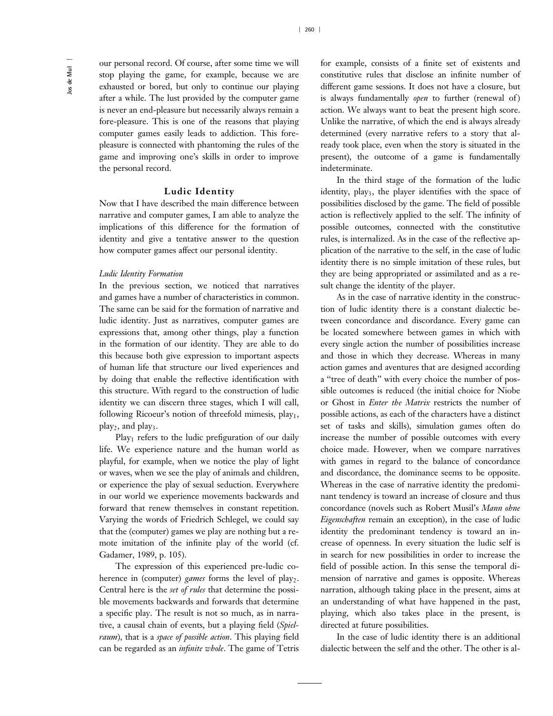our personal record. Of course, after some time we will stop playing the game, for example, because we are exhausted or bored, but only to continue our playing after a while. The lust provided by the computer game is never an end-pleasure but necessarily always remain a fore-pleasure. This is one of the reasons that playing computer games easily leads to addiction. This forepleasure is connected with phantoming the rules of the game and improving one's skills in order to improve the personal record.

## Ludic Identity

Now that I have described the main difference between narrative and computer games, I am able to analyze the implications of this difference for the formation of identity and give a tentative answer to the question how computer games affect our personal identity.

### Ludic Identity Formation

In the previous section, we noticed that narratives and games have a number of characteristics in common. The same can be said for the formation of narrative and ludic identity. Just as narratives, computer games are expressions that, among other things, play a function in the formation of our identity. They are able to do this because both give expression to important aspects of human life that structure our lived experiences and by doing that enable the reflective identification with this structure. With regard to the construction of ludic identity we can discern three stages, which I will call, following Ricoeur's notion of threefold mimesis, play<sub>1</sub>, play<sub>2</sub>, and play<sub>3</sub>.

Play<sub>1</sub> refers to the ludic prefiguration of our daily life. We experience nature and the human world as playful, for example, when we notice the play of light or waves, when we see the play of animals and children, or experience the play of sexual seduction. Everywhere in our world we experience movements backwards and forward that renew themselves in constant repetition. Varying the words of Friedrich Schlegel, we could say that the (computer) games we play are nothing but a remote imitation of the infinite play of the world (cf. Gadamer, 1989, p. 105).

The expression of this experienced pre-ludic coherence in (computer) games forms the level of play<sub>2</sub>. Central here is the set of rules that determine the possible movements backwards and forwards that determine a specific play. The result is not so much, as in narrative, a causal chain of events, but a playing field (Spielraum), that is a space of possible action. This playing field can be regarded as an *infinite whole*. The game of Tetris for example, consists of a finite set of existents and constitutive rules that disclose an infinite number of different game sessions. It does not have a closure, but is always fundamentally open to further (renewal of) action. We always want to beat the present high score. Unlike the narrative, of which the end is always already determined (every narrative refers to a story that already took place, even when the story is situated in the present), the outcome of a game is fundamentally indeterminate.

In the third stage of the formation of the ludic identity, play<sub>3</sub>, the player identifies with the space of possibilities disclosed by the game. The field of possible action is reflectively applied to the self. The infinity of possible outcomes, connected with the constitutive rules, is internalized. As in the case of the reflective application of the narrative to the self, in the case of ludic identity there is no simple imitation of these rules, but they are being appropriated or assimilated and as a result change the identity of the player.

As in the case of narrative identity in the construction of ludic identity there is a constant dialectic between concordance and discordance. Every game can be located somewhere between games in which with every single action the number of possibilities increase and those in which they decrease. Whereas in many action games and aventures that are designed according a ''tree of death'' with every choice the number of possible outcomes is reduced (the initial choice for Niobe or Ghost in Enter the Matrix restricts the number of possible actions, as each of the characters have a distinct set of tasks and skills), simulation games often do increase the number of possible outcomes with every choice made. However, when we compare narratives with games in regard to the balance of concordance and discordance, the dominance seems to be opposite. Whereas in the case of narrative identity the predominant tendency is toward an increase of closure and thus concordance (novels such as Robert Musil's Mann ohne Eigenschaften remain an exception), in the case of ludic identity the predominant tendency is toward an increase of openness. In every situation the ludic self is in search for new possibilities in order to increase the field of possible action. In this sense the temporal dimension of narrative and games is opposite. Whereas narration, although taking place in the present, aims at an understanding of what have happened in the past, playing, which also takes place in the present, is directed at future possibilities.

In the case of ludic identity there is an additional dialectic between the self and the other. The other is al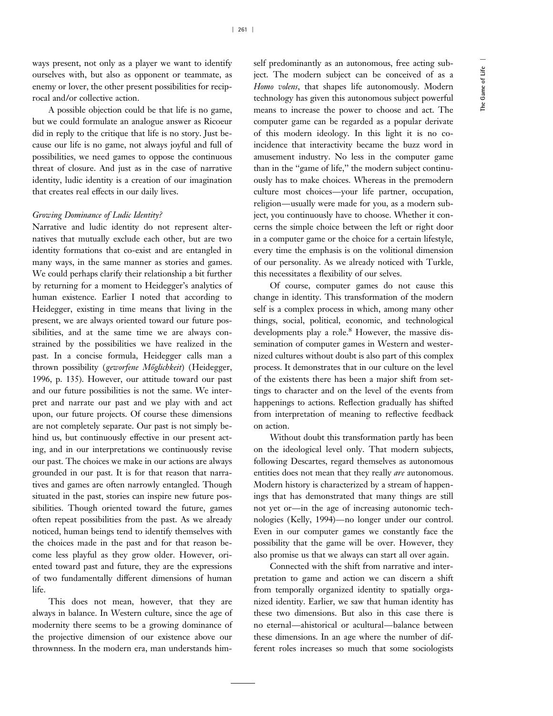ways present, not only as a player we want to identify ourselves with, but also as opponent or teammate, as enemy or lover, the other present possibilities for reciprocal and/or collective action.

A possible objection could be that life is no game, but we could formulate an analogue answer as Ricoeur did in reply to the critique that life is no story. Just because our life is no game, not always joyful and full of possibilities, we need games to oppose the continuous threat of closure. And just as in the case of narrative identity, ludic identity is a creation of our imagination that creates real effects in our daily lives.

## Growing Dominance of Ludic Identity?

Narrative and ludic identity do not represent alternatives that mutually exclude each other, but are two identity formations that co-exist and are entangled in many ways, in the same manner as stories and games. We could perhaps clarify their relationship a bit further by returning for a moment to Heidegger's analytics of human existence. Earlier I noted that according to Heidegger, existing in time means that living in the present, we are always oriented toward our future possibilities, and at the same time we are always constrained by the possibilities we have realized in the past. In a concise formula, Heidegger calls man a thrown possibility (geworfene Mőglichkeit) (Heidegger, 1996, p. 135). However, our attitude toward our past and our future possibilities is not the same. We interpret and narrate our past and we play with and act upon, our future projects. Of course these dimensions are not completely separate. Our past is not simply behind us, but continuously effective in our present acting, and in our interpretations we continuously revise our past. The choices we make in our actions are always grounded in our past. It is for that reason that narratives and games are often narrowly entangled. Though situated in the past, stories can inspire new future possibilities. Though oriented toward the future, games often repeat possibilities from the past. As we already noticed, human beings tend to identify themselves with the choices made in the past and for that reason become less playful as they grow older. However, oriented toward past and future, they are the expressions of two fundamentally different dimensions of human life.

This does not mean, however, that they are always in balance. In Western culture, since the age of modernity there seems to be a growing dominance of the projective dimension of our existence above our thrownness. In the modern era, man understands himself predominantly as an autonomous, free acting subject. The modern subject can be conceived of as a Homo volens, that shapes life autonomously. Modern technology has given this autonomous subject powerful means to increase the power to choose and act. The computer game can be regarded as a popular derivate of this modern ideology. In this light it is no coincidence that interactivity became the buzz word in amusement industry. No less in the computer game than in the ''game of life,'' the modern subject continuously has to make choices. Whereas in the premodern culture most choices—your life partner, occupation, religion—usually were made for you, as a modern subject, you continuously have to choose. Whether it concerns the simple choice between the left or right door in a computer game or the choice for a certain lifestyle, every time the emphasis is on the volitional dimension of our personality. As we already noticed with Turkle, this necessitates a flexibility of our selves.

Of course, computer games do not cause this change in identity. This transformation of the modern self is a complex process in which, among many other things, social, political, economic, and technological developments play a role.<sup>8</sup> However, the massive dissemination of computer games in Western and westernized cultures without doubt is also part of this complex process. It demonstrates that in our culture on the level of the existents there has been a major shift from settings to character and on the level of the events from happenings to actions. Reflection gradually has shifted from interpretation of meaning to reflective feedback on action.

Without doubt this transformation partly has been on the ideological level only. That modern subjects, following Descartes, regard themselves as autonomous entities does not mean that they really are autonomous. Modern history is characterized by a stream of happenings that has demonstrated that many things are still not yet or—in the age of increasing autonomic technologies (Kelly, 1994)—no longer under our control. Even in our computer games we constantly face the possibility that the game will be over. However, they also promise us that we always can start all over again.

Connected with the shift from narrative and interpretation to game and action we can discern a shift from temporally organized identity to spatially organized identity. Earlier, we saw that human identity has these two dimensions. But also in this case there is no eternal—ahistorical or acultural—balance between these dimensions. In an age where the number of different roles increases so much that some sociologists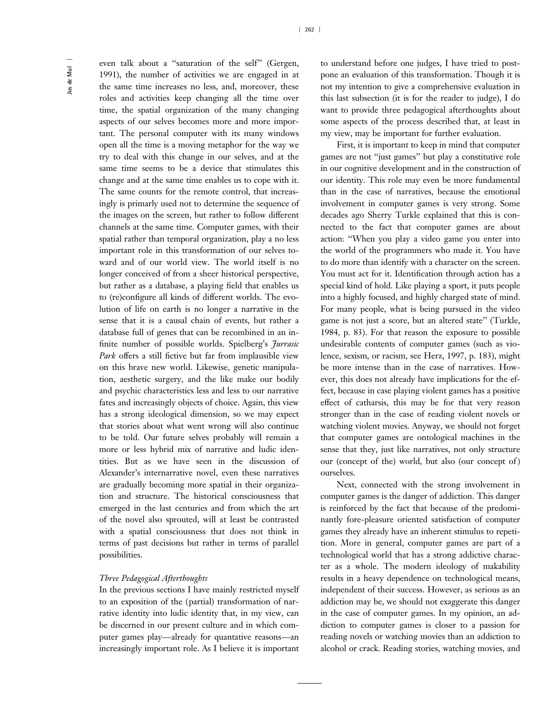even talk about a ''saturation of the self'' (Gergen, 1991), the number of activities we are engaged in at the same time increases no less, and, moreover, these roles and activities keep changing all the time over time, the spatial organization of the many changing aspects of our selves becomes more and more important. The personal computer with its many windows open all the time is a moving metaphor for the way we try to deal with this change in our selves, and at the same time seems to be a device that stimulates this change and at the same time enables us to cope with it. The same counts for the remote control, that increasingly is primarly used not to determine the sequence of the images on the screen, but rather to follow different channels at the same time. Computer games, with their spatial rather than temporal organization, play a no less important role in this transformation of our selves toward and of our world view. The world itself is no longer conceived of from a sheer historical perspective, but rather as a database, a playing field that enables us to (re)configure all kinds of different worlds. The evolution of life on earth is no longer a narrative in the sense that it is a causal chain of events, but rather a database full of genes that can be recombined in an infinite number of possible worlds. Spielberg's *Jurrasic* Park offers a still fictive but far from implausible view on this brave new world. Likewise, genetic manipulation, aesthetic surgery, and the like make our bodily and psychic characteristics less and less to our narrative fates and increasingly objects of choice. Again, this view has a strong ideological dimension, so we may expect that stories about what went wrong will also continue to be told. Our future selves probably will remain a more or less hybrid mix of narrative and ludic identities. But as we have seen in the discussion of Alexander's internarrative novel, even these narratives are gradually becoming more spatial in their organization and structure. The historical consciousness that emerged in the last centuries and from which the art of the novel also sprouted, will at least be contrasted with a spatial consciousness that does not think in terms of past decisions but rather in terms of parallel possibilities.

### Three Pedagogical Afterthoughts

In the previous sections I have mainly restricted myself to an exposition of the (partial) transformation of narrative identity into ludic identity that, in my view, can be discerned in our present culture and in which computer games play—already for quantative reasons—an increasingly important role. As I believe it is important to understand before one judges, I have tried to postpone an evaluation of this transformation. Though it is not my intention to give a comprehensive evaluation in this last subsection (it is for the reader to judge), I do want to provide three pedagogical afterthoughts about some aspects of the process described that, at least in my view, may be important for further evaluation.

First, it is important to keep in mind that computer games are not ''just games'' but play a constitutive role in our cognitive development and in the construction of our identity. This role may even be more fundamental than in the case of narratives, because the emotional involvement in computer games is very strong. Some decades ago Sherry Turkle explained that this is connected to the fact that computer games are about action: ''When you play a video game you enter into the world of the programmers who made it. You have to do more than identify with a character on the screen. You must act for it. Identification through action has a special kind of hold. Like playing a sport, it puts people into a highly focused, and highly charged state of mind. For many people, what is being pursued in the video game is not just a score, but an altered state'' (Turkle, 1984, p. 83). For that reason the exposure to possible undesirable contents of computer games (such as violence, sexism, or racism, see Herz, 1997, p. 183), might be more intense than in the case of narratives. However, this does not already have implications for the effect, because in case playing violent games has a positive effect of catharsis, this may be for that very reason stronger than in the case of reading violent novels or watching violent movies. Anyway, we should not forget that computer games are ontological machines in the sense that they, just like narratives, not only structure our (concept of the) world, but also (our concept of ) ourselves.

Next, connected with the strong involvement in computer games is the danger of addiction. This danger is reinforced by the fact that because of the predominantly fore-pleasure oriented satisfaction of computer games they already have an inherent stimulus to repetition. More in general, computer games are part of a technological world that has a strong addictive character as a whole. The modern ideology of makability results in a heavy dependence on technological means, independent of their success. However, as serious as an addiction may be, we should not exaggerate this danger in the case of computer games. In my opinion, an addiction to computer games is closer to a passion for reading novels or watching movies than an addiction to alcohol or crack. Reading stories, watching movies, and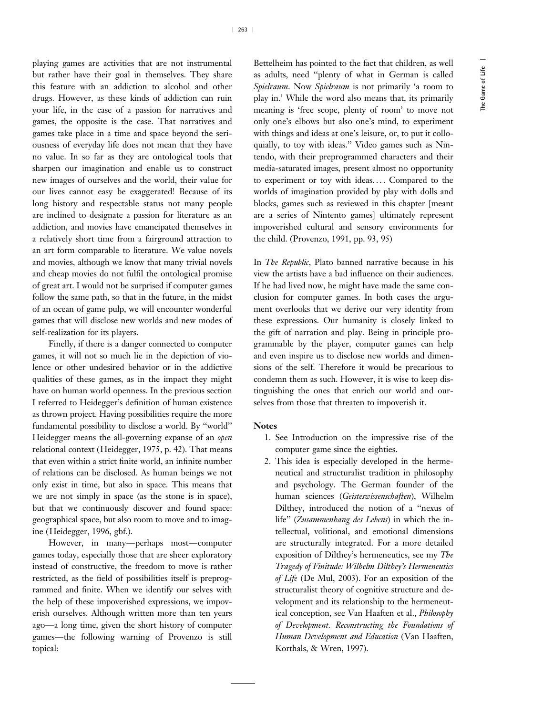playing games are activities that are not instrumental but rather have their goal in themselves. They share this feature with an addiction to alcohol and other drugs. However, as these kinds of addiction can ruin your life, in the case of a passion for narratives and games, the opposite is the case. That narratives and games take place in a time and space beyond the seriousness of everyday life does not mean that they have no value. In so far as they are ontological tools that sharpen our imagination and enable us to construct new images of ourselves and the world, their value for our lives cannot easy be exaggerated! Because of its long history and respectable status not many people are inclined to designate a passion for literature as an addiction, and movies have emancipated themselves in a relatively short time from a fairground attraction to an art form comparable to literature. We value novels and movies, although we know that many trivial novels and cheap movies do not fulfil the ontological promise of great art. I would not be surprised if computer games follow the same path, so that in the future, in the midst of an ocean of game pulp, we will encounter wonderful games that will disclose new worlds and new modes of self-realization for its players.

Finelly, if there is a danger connected to computer games, it will not so much lie in the depiction of violence or other undesired behavior or in the addictive qualities of these games, as in the impact they might have on human world openness. In the previous section I referred to Heidegger's definition of human existence as thrown project. Having possibilities require the more fundamental possibility to disclose a world. By ''world'' Heidegger means the all-governing expanse of an open relational context (Heidegger, 1975, p. 42). That means that even within a strict finite world, an infinite number of relations can be disclosed. As human beings we not only exist in time, but also in space. This means that we are not simply in space (as the stone is in space), but that we continuously discover and found space: geographical space, but also room to move and to imagine (Heidegger, 1996, gbf.).

However, in many—perhaps most—computer games today, especially those that are sheer exploratory instead of constructive, the freedom to move is rather restricted, as the field of possibilities itself is preprogrammed and finite. When we identify our selves with the help of these impoverished expressions, we impoverish ourselves. Although written more than ten years ago—a long time, given the short history of computer games—the following warning of Provenzo is still topical:

Bettelheim has pointed to the fact that children, as well as adults, need ''plenty of what in German is called Spielraum. Now Spielraum is not primarily 'a room to play in.' While the word also means that, its primarily meaning is 'free scope, plenty of room' to move not only one's elbows but also one's mind, to experiment with things and ideas at one's leisure, or, to put it colloquially, to toy with ideas.'' Video games such as Nintendo, with their preprogrammed characters and their media-saturated images, present almost no opportunity to experiment or toy with ideas.... Compared to the worlds of imagination provided by play with dolls and blocks, games such as reviewed in this chapter [meant are a series of Nintento games] ultimately represent impoverished cultural and sensory environments for the child. (Provenzo, 1991, pp. 93, 95)

In The Republic, Plato banned narrative because in his view the artists have a bad influence on their audiences. If he had lived now, he might have made the same conclusion for computer games. In both cases the argument overlooks that we derive our very identity from these expressions. Our humanity is closely linked to the gift of narration and play. Being in principle programmable by the player, computer games can help and even inspire us to disclose new worlds and dimensions of the self. Therefore it would be precarious to condemn them as such. However, it is wise to keep distinguishing the ones that enrich our world and ourselves from those that threaten to impoverish it.

## **Notes**

- 1. See Introduction on the impressive rise of the computer game since the eighties.
- 2. This idea is especially developed in the hermeneutical and structuralist tradition in philosophy and psychology. The German founder of the human sciences (Geisteswissenschaften), Wilhelm Dilthey, introduced the notion of a ''nexus of life'' (Zusammenhang des Lebens) in which the intellectual, volitional, and emotional dimensions are structurally integrated. For a more detailed exposition of Dilthey's hermeneutics, see my The Tragedy of Finitude: Wilhelm Dilthey's Hermeneutics of Life (De Mul, 2003). For an exposition of the structuralist theory of cognitive structure and development and its relationship to the hermeneutical conception, see Van Haaften et al., Philosophy of Development. Reconstructing the Foundations of Human Development and Education (Van Haaften, Korthals, & Wren, 1997).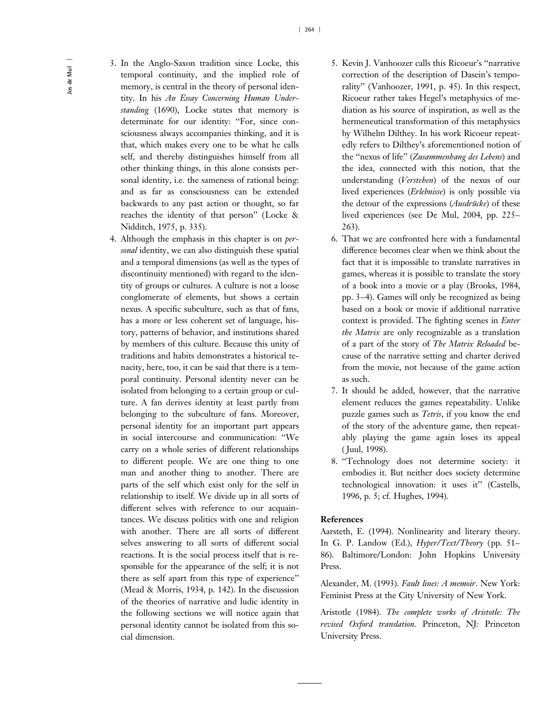- 3. In the Anglo-Saxon tradition since Locke, this temporal continuity, and the implied role of memory, is central in the theory of personal identity. In his An Essay Concerning Human Understanding (1690), Locke states that memory is determinate for our identity: ''For, since consciousness always accompanies thinking, and it is that, which makes every one to be what he calls self, and thereby distinguishes himself from all other thinking things, in this alone consists personal identity, i.e. the sameness of rational being: and as far as consciousness can be extended backwards to any past action or thought, so far reaches the identity of that person'' (Locke & Nidditch, 1975, p. 335).
- 4. Although the emphasis in this chapter is on personal identity, we can also distinguish these spatial and a temporal dimensions (as well as the types of discontinuity mentioned) with regard to the identity of groups or cultures. A culture is not a loose conglomerate of elements, but shows a certain nexus. A specific subculture, such as that of fans, has a more or less coherent set of language, history, patterns of behavior, and institutions shared by members of this culture. Because this unity of traditions and habits demonstrates a historical tenacity, here, too, it can be said that there is a temporal continuity. Personal identity never can be isolated from belonging to a certain group or culture. A fan derives identity at least partly from belonging to the subculture of fans. Moreover, personal identity for an important part appears in social intercourse and communication: ''We carry on a whole series of different relationships to different people. We are one thing to one man and another thing to another. There are parts of the self which exist only for the self in relationship to itself. We divide up in all sorts of different selves with reference to our acquaintances. We discuss politics with one and religion with another. There are all sorts of different selves answering to all sorts of different social reactions. It is the social process itself that is responsible for the appearance of the self; it is not there as self apart from this type of experience'' (Mead & Morris, 1934, p. 142). In the discussion of the theories of narrative and ludic identity in the following sections we will notice again that personal identity cannot be isolated from this social dimension.
- 5. Kevin J. Vanhoozer calls this Ricoeur's ''narrative correction of the description of Dasein's temporality'' (Vanhoozer, 1991, p. 45). In this respect, Ricoeur rather takes Hegel's metaphysics of mediation as his source of inspiration, as well as the hermeneutical transformation of this metaphysics by Wilhelm Dilthey. In his work Ricoeur repeatedly refers to Dilthey's aforementioned notion of the "nexus of life" (Zusammenhang des Lebens) and the idea, connected with this notion, that the understanding (Verstehen) of the nexus of our lived experiences (Erlebnisse) is only possible via the detour of the expressions (Ausdrücke) of these lived experiences (see De Mul, 2004, pp. 225– 263).
- 6. That we are confronted here with a fundamental difference becomes clear when we think about the fact that it is impossible to translate narratives in games, whereas it is possible to translate the story of a book into a movie or a play (Brooks, 1984, pp. 3–4). Games will only be recognized as being based on a book or movie if additional narrative context is provided. The fighting scenes in Enter the Matrix are only recognizable as a translation of a part of the story of The Matrix Reloaded because of the narrative setting and charter derived from the movie, not because of the game action as such.
- 7. It should be added, however, that the narrative element reduces the games repeatability. Unlike puzzle games such as Tetris, if you know the end of the story of the adventure game, then repeatably playing the game again loses its appeal ( Juul, 1998).
- 8. ''Technology does not determine society: it embodies it. But neither does society determine technological innovation: it uses it'' (Castells, 1996, p. 5; cf. Hughes, 1994).

### References

Aarsteth, E. (1994). Nonlinearity and literary theory. In G. P. Landow (Ed.), Hyper/Text/Theory (pp. 51– 86). Baltimore/London: John Hopkins University Press.

Alexander, M. (1993). Fault lines: A memoir. New York: Feminist Press at the City University of New York.

Aristotle (1984). The complete works of Aristotle: The revised Oxford translation. Princeton, NJ: Princeton University Press.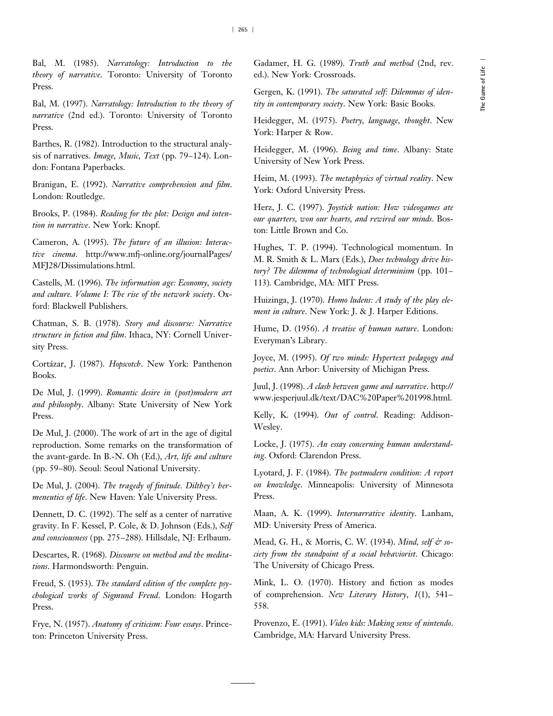Bal, M. (1985). Narratology: Introduction to the theory of narrative. Toronto: University of Toronto Press.

Bal, M. (1997). Narratology: Introduction to the theory of narrative (2nd ed.). Toronto: University of Toronto Press.

Barthes, R. (1982). Introduction to the structural analysis of narratives. Image, Music, Text (pp. 79–124). London: Fontana Paperbacks.

Branigan, E. (1992). Narrative comprehension and film. London: Routledge.

Brooks, P. (1984). Reading for the plot: Design and intention in narrative. New York: Knopf.

Cameron, A. (1995). The future of an illusion: Interactive cinema. http://www.mfj-online.org/journalPages/ MFJ28/Dissimulations.html.

Castells, M. (1996). The information age: Economy, society and culture. Volume I: The rise of the network society. Oxford: Blackwell Publishers.

Chatman, S. B. (1978). Story and discourse: Narrative structure in fiction and film. Ithaca, NY: Cornell University Press.

Cortázar, J. (1987). Hopscotch. New York: Panthenon Books.

De Mul, J. (1999). Romantic desire in (post)modern art and philosophy. Albany: State University of New York Press.

De Mul, J. (2000). The work of art in the age of digital reproduction. Some remarks on the transformation of the avant-garde. In B.-N. Oh (Ed.), Art, life and culture (pp. 59–80). Seoul: Seoul National University.

De Mul, J. (2004). The tragedy of finitude. Dilthey's hermeneutics of life. New Haven: Yale University Press.

Dennett, D. C. (1992). The self as a center of narrative gravity. In F. Kessel, P. Cole, & D. Johnson (Eds.), Self and consciousness (pp. 275–288). Hillsdale, NJ: Erlbaum.

Descartes, R. (1968). Discourse on method and the meditations. Harmondsworth: Penguin.

Freud, S. (1953). The standard edition of the complete psychological works of Sigmund Freud. London: Hogarth Press.

Frye, N. (1957). Anatomy of criticism: Four essays. Princeton: Princeton University Press.

Gadamer, H. G. (1989). Truth and method (2nd, rev. ed.). New York: Crossroads.

Gergen, K. (1991). The saturated self: Dilemmas of identity in contemporary society. New York: Basic Books.

Heidegger, M. (1975). Poetry, language, thought. New York: Harper & Row.

Heidegger, M. (1996). Being and time. Albany: State University of New York Press.

Heim, M. (1993). The metaphysics of virtual reality. New York: Oxford University Press.

Herz, J. C. (1997). Joystick nation: How videogames ate our quarters, won our hearts, and rewired our minds. Boston: Little Brown and Co.

Hughes, T. P. (1994). Technological momentum. In M. R. Smith & L. Marx (Eds.), Does technology drive history? The dilemma of technological determinism (pp. 101-113). Cambridge, MA: MIT Press.

Huizinga, J. (1970). Homo ludens: A study of the play element in culture. New York: J. & J. Harper Editions.

Hume, D. (1956). A treatise of human nature. London: Everyman's Library.

Joyce, M. (1995). Of two minds: Hypertext pedagogy and poetics. Ann Arbor: University of Michigan Press.

Juul, J. (1998). A clash between game and narrative. http:// www.jesperjuul.dk/text/DAC%20Paper%201998.html.

Kelly, K. (1994). Out of control. Reading: Addison-Wesley.

Locke, J. (1975). An essay concerning human understanding. Oxford: Clarendon Press.

Lyotard, J. F. (1984). The postmodern condition: A report on knowledge. Minneapolis: University of Minnesota Press.

Maan, A. K. (1999). Internarrative identity. Lanham, MD: University Press of America.

Mead, G. H., & Morris, C. W. (1934). Mind, self & society from the standpoint of a social behaviorist. Chicago: The University of Chicago Press.

Mink, L. O. (1970). History and fiction as modes of comprehension. New Literary History, 1(1), 541-558.

Provenzo, E. (1991). Video kids: Making sense of nintendo. Cambridge, MA: Harvard University Press.